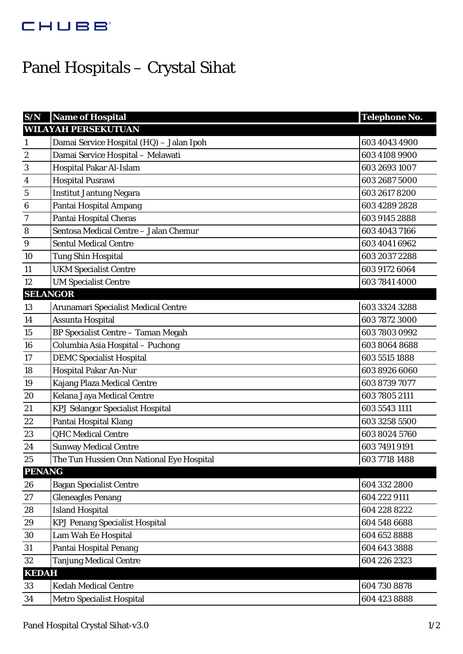## CHUBB'

## Panel Hospitals – Crystal Sihat

| S/N              | <b>Name of Hospital</b>                   | <b>Telephone No.</b> |  |
|------------------|-------------------------------------------|----------------------|--|
|                  | <b>WILAYAH PERSEKUTUAN</b>                |                      |  |
| $\mathbf{1}$     | Damai Service Hospital (HQ) - Jalan Ipoh  | 603 4043 4900        |  |
| $\boldsymbol{2}$ | Damai Service Hospital - Melawati         | 603 4108 9900        |  |
| 3                | Hospital Pakar Al-Islam                   | 603 2693 1007        |  |
| 4                | <b>Hospital Pusrawi</b>                   | 603 2687 5000        |  |
| $\bf 5$          | <b>Institut Jantung Negara</b>            | 603 2617 8200        |  |
| $\boldsymbol{6}$ | Pantai Hospital Ampang                    | 603 4289 2828        |  |
| 7                | Pantai Hospital Cheras                    | 603 9145 2888        |  |
| 8                | Sentosa Medical Centre - Jalan Chemur     | 603 4043 7166        |  |
| $\boldsymbol{9}$ | <b>Sentul Medical Centre</b>              | 603 4041 6962        |  |
| 10               | <b>Tung Shin Hospital</b>                 | 603 2037 2288        |  |
| 11               | <b>UKM Specialist Centre</b>              | 603 9172 6064        |  |
| 12               | <b>UM Specialist Centre</b>               | 603 7841 4000        |  |
| <b>SELANGOR</b>  |                                           |                      |  |
| 13               | Arunamari Specialist Medical Centre       | 603 3324 3288        |  |
| 14               | Assunta Hospital                          | 603 7872 3000        |  |
| 15               | <b>BP Specialist Centre - Taman Megah</b> | 603 7803 0992        |  |
| 16               | Columbia Asia Hospital - Puchong          | 603 8064 8688        |  |
| 17               | <b>DEMC Specialist Hospital</b>           | 603 5515 1888        |  |
| 18               | Hospital Pakar An-Nur                     | 603 8926 6060        |  |
| 19               | Kajang Plaza Medical Centre               | 603 8739 7077        |  |
| 20               | Kelana Jaya Medical Centre                | 603 7805 2111        |  |
| 21               | <b>KPJ Selangor Specialist Hospital</b>   | 603 5543 1111        |  |
| 22               | Pantai Hospital Klang                     | 603 3258 5500        |  |
| 23               | <b>QHC</b> Medical Centre                 | 603 8024 5760        |  |
| 24               | <b>Sunway Medical Centre</b>              | 603 7491 9191        |  |
| 25               | The Tun Hussien Onn National Eye Hospital | 603 7718 1488        |  |
| <b>PENANG</b>    |                                           |                      |  |
| 26               | <b>Bagan Specialist Centre</b>            | 604 332 2800         |  |
| 27               | <b>Gleneagles Penang</b>                  | 604 222 9111         |  |
| 28               | <b>Island Hospital</b>                    | 604 228 8222         |  |
| 29               | <b>KPJ Penang Specialist Hospital</b>     | 604 548 6688         |  |
| 30               | Lam Wah Ee Hospital                       | 604 652 8888         |  |
| 31               | <b>Pantai Hospital Penang</b>             | 604 643 3888         |  |
| 32               | <b>Tanjung Medical Centre</b>             | 604 226 2323         |  |
| <b>KEDAH</b>     |                                           |                      |  |
| 33               | <b>Kedah Medical Centre</b>               | 604 730 8878         |  |
| 34               | <b>Metro Specialist Hospital</b>          | 604 423 8888         |  |